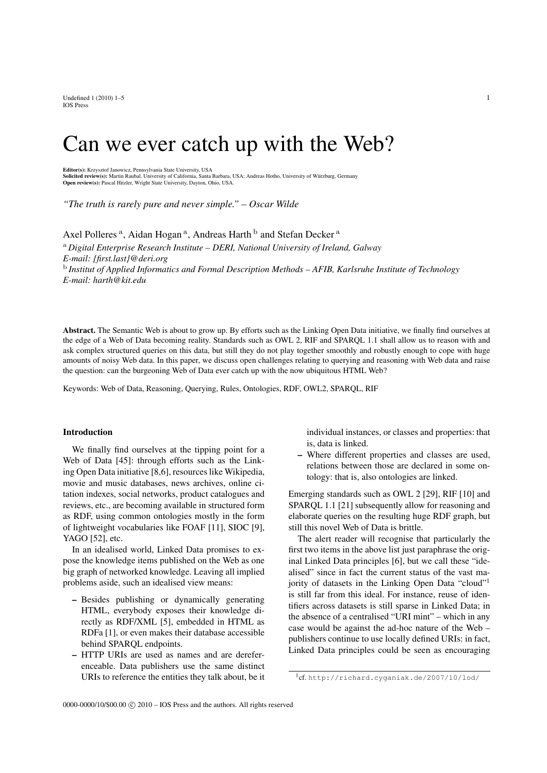Undefined  $1 (2010) 1-5$  1 IOS Press

# Can we ever catch up with the Web?

Editor(s): Krzysztof Janowicz, Pennsylvania State University, USA

**Solicited review(s):** Martin Raubal, University of California, Santa Barbara, USA; Andreas Hotho, University of Würzburg, Germany<br>**Open review(s):** Pascal Hitzler, Wright State University, Dayton, Ohio, USA.

*"The truth is rarely pure and never simple." – Oscar Wilde*

Axel Polleres<sup>a</sup>, Aidan Hogan<sup>a</sup>, Andreas Harth<sup>b</sup> and Stefan Decker<sup>a</sup>

<sup>a</sup> *Digital Enterprise Research Institute – DERI, National University of Ireland, Galway E-mail: {first.last}@deri.org* b *Institut of Applied Informatics and Formal Description Methods – AFIB, Karlsruhe Institute of Technology E-mail: harth@kit.edu*

Abstract. The Semantic Web is about to grow up. By efforts such as the Linking Open Data initiative, we finally find ourselves at the edge of a Web of Data becoming reality. Standards such as OWL 2, RIF and SPARQL 1.1 shall allow us to reason with and ask complex structured queries on this data, but still they do not play together smoothly and robustly enough to cope with huge amounts of noisy Web data. In this paper, we discuss open challenges relating to querying and reasoning with Web data and raise the question: can the burgeoning Web of Data ever catch up with the now ubiquitous HTML Web?

Keywords: Web of Data, Reasoning, Querying, Rules, Ontologies, RDF, OWL2, SPARQL, RIF

## Introduction

We finally find ourselves at the tipping point for a Web of Data [45]: through efforts such as the Linking Open Data initiative [8,6], resources like Wikipedia, movie and music databases, news archives, online citation indexes, social networks, product catalogues and reviews, etc., are becoming available in structured form as RDF, using common ontologies mostly in the form of lightweight vocabularies like FOAF [11], SIOC [9], YAGO [52], etc.

In an idealised world, Linked Data promises to expose the knowledge items published on the Web as one big graph of networked knowledge. Leaving all implied problems aside, such an idealised view means:

- Besides publishing or dynamically generating HTML, everybody exposes their knowledge directly as RDF/XML [5], embedded in HTML as RDFa [1], or even makes their database accessible behind SPARQL endpoints.
- HTTP URIs are used as names and are dereferenceable. Data publishers use the same distinct URIs to reference the entities they talk about, be it

individual instances, or classes and properties: that is, data is linked.

– Where different properties and classes are used, relations between those are declared in some ontology: that is, also ontologies are linked.

Emerging standards such as OWL 2 [29], RIF [10] and SPARQL 1.1 [21] subsequently allow for reasoning and elaborate queries on the resulting huge RDF graph, but still this novel Web of Data is brittle.

The alert reader will recognise that particularly the first two items in the above list just paraphrase the original Linked Data principles [6], but we call these "idealised" since in fact the current status of the vast majority of datasets in the Linking Open Data "cloud"<sup>1</sup> is still far from this ideal. For instance, reuse of identifiers across datasets is still sparse in Linked Data; in the absence of a centralised "URI mint" – which in any case would be against the ad-hoc nature of the Web – publishers continue to use locally defined URIs: in fact, Linked Data principles could be seen as encouraging

<sup>1</sup> cf. http://richard.cyganiak.de/2007/10/lod/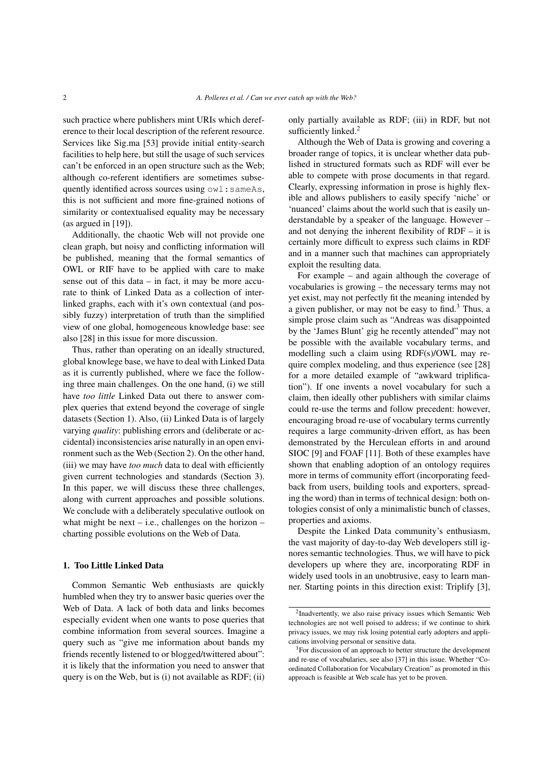such practice where publishers mint URIs which dereference to their local description of the referent resource. Services like Sig.ma [53] provide initial entity-search facilities to help here, but still the usage of such services can't be enforced in an open structure such as the Web; although co-referent identifiers are sometimes subsequently identified across sources using owl:sameAs, this is not sufficient and more fine-grained notions of similarity or contextualised equality may be necessary (as argued in [19]).

Additionally, the chaotic Web will not provide one clean graph, but noisy and conflicting information will be published, meaning that the formal semantics of OWL or RIF have to be applied with care to make sense out of this data – in fact, it may be more accurate to think of Linked Data as a collection of interlinked graphs, each with it's own contextual (and possibly fuzzy) interpretation of truth than the simplified view of one global, homogeneous knowledge base: see also [28] in this issue for more discussion.

Thus, rather than operating on an ideally structured, global knowlege base, we have to deal with Linked Data as it is currently published, where we face the following three main challenges. On the one hand, (i) we still have *too little* Linked Data out there to answer complex queries that extend beyond the coverage of single datasets (Section 1). Also, (ii) Linked Data is of largely varying *quality*: publishing errors and (deliberate or accidental) inconsistencies arise naturally in an open environment such as the Web (Section 2). On the other hand, (iii) we may have *too much* data to deal with efficiently given current technologies and standards (Section 3). In this paper, we will discuss these three challenges, along with current approaches and possible solutions. We conclude with a deliberately speculative outlook on what might be next – i.e., challenges on the horizon – charting possible evolutions on the Web of Data.

## 1. Too Little Linked Data

Common Semantic Web enthusiasts are quickly humbled when they try to answer basic queries over the Web of Data. A lack of both data and links becomes especially evident when one wants to pose queries that combine information from several sources. Imagine a query such as "give me information about bands my friends recently listened to or blogged/twittered about": it is likely that the information you need to answer that query is on the Web, but is (i) not available as RDF; (ii) only partially available as RDF; (iii) in RDF, but not sufficiently linked.<sup>2</sup>

Although the Web of Data is growing and covering a broader range of topics, it is unclear whether data published in structured formats such as RDF will ever be able to compete with prose documents in that regard. Clearly, expressing information in prose is highly flexible and allows publishers to easily specify 'niche' or 'nuanced' claims about the world such that is easily understandable by a speaker of the language. However – and not denying the inherent flexibility of RDF – it is certainly more difficult to express such claims in RDF and in a manner such that machines can appropriately exploit the resulting data.

For example – and again although the coverage of vocabularies is growing – the necessary terms may not yet exist, may not perfectly fit the meaning intended by a given publisher, or may not be easy to find.<sup>3</sup> Thus, a simple prose claim such as "Andreas was disappointed by the 'James Blunt' gig he recently attended" may not be possible with the available vocabulary terms, and modelling such a claim using RDF(s)/OWL may require complex modeling, and thus experience (see [28] for a more detailed example of "awkward triplification"). If one invents a novel vocabulary for such a claim, then ideally other publishers with similar claims could re-use the terms and follow precedent: however, encouraging broad re-use of vocabulary terms currently requires a large community-driven effort, as has been demonstrated by the Herculean efforts in and around SIOC [9] and FOAF [11]. Both of these examples have shown that enabling adoption of an ontology requires more in terms of community effort (incorporating feedback from users, building tools and exporters, spreading the word) than in terms of technical design: both ontologies consist of only a minimalistic bunch of classes, properties and axioms.

Despite the Linked Data community's enthusiasm, the vast majority of day-to-day Web developers still ignores semantic technologies. Thus, we will have to pick developers up where they are, incorporating RDF in widely used tools in an unobtrusive, easy to learn manner. Starting points in this direction exist: Triplify [3],

<sup>2</sup> Inadvertently, we also raise privacy issues which Semantic Web technologies are not well poised to address; if we continue to shirk privacy issues, we may risk losing potential early adopters and applications involving personal or sensitive data.

<sup>3</sup>For discussion of an approach to better structure the development and re-use of vocabularies, see also [37] in this issue. Whether "Coordinated Collaboration for Vocabulary Creation" as promoted in this approach is feasible at Web scale has yet to be proven.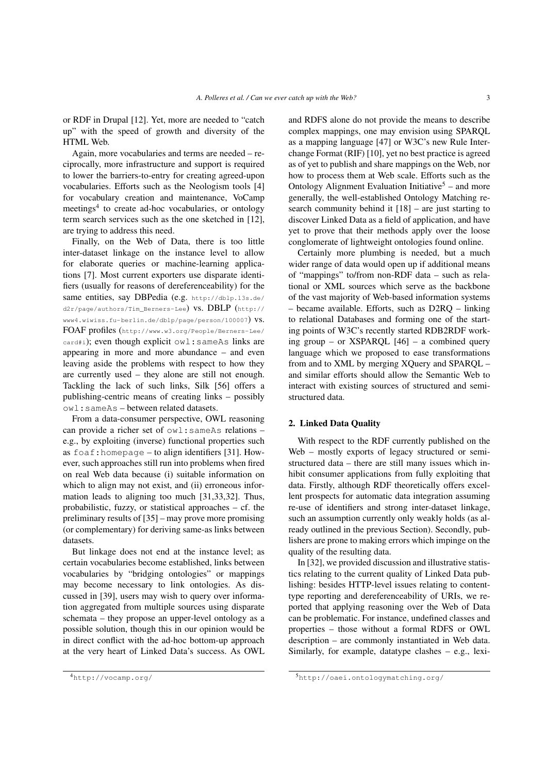or RDF in Drupal [12]. Yet, more are needed to "catch up" with the speed of growth and diversity of the HTML Web.

Again, more vocabularies and terms are needed – reciprocally, more infrastructure and support is required to lower the barriers-to-entry for creating agreed-upon vocabularies. Efforts such as the Neologism tools [4] for vocabulary creation and maintenance, VoCamp meetings<sup>4</sup> to create ad-hoc vocabularies, or ontology term search services such as the one sketched in [12], are trying to address this need.

Finally, on the Web of Data, there is too little inter-dataset linkage on the instance level to allow for elaborate queries or machine-learning applications [7]. Most current exporters use disparate identifiers (usually for reasons of dereferenceability) for the same entities, say DBPedia (e.g. http://dblp.13s.de/ d2r/page/authors/Tim\_Berners-Lee) vs. DBLP (http:// www4.wiwiss.fu-berlin.de/dblp/page/person/100007) vs. FOAF profiles (http://www.w3.org/People/Berners-Lee/ card#i); even though explicit owl:sameAs links are appearing in more and more abundance – and even leaving aside the problems with respect to how they are currently used – they alone are still not enough. Tackling the lack of such links, Silk [56] offers a publishing-centric means of creating links – possibly owl:sameAs – between related datasets.

From a data-consumer perspective, OWL reasoning can provide a richer set of owl:sameAs relations – e.g., by exploiting (inverse) functional properties such as foaf: homepage – to align identifiers [31]. However, such approaches still run into problems when fired on real Web data because (i) suitable information on which to align may not exist, and (ii) erroneous information leads to aligning too much [31,33,32]. Thus, probabilistic, fuzzy, or statistical approaches – cf. the preliminary results of [35] – may prove more promising (or complementary) for deriving same-as links between datasets.

But linkage does not end at the instance level; as certain vocabularies become established, links between vocabularies by "bridging ontologies" or mappings may become necessary to link ontologies. As discussed in [39], users may wish to query over information aggregated from multiple sources using disparate schemata – they propose an upper-level ontology as a possible solution, though this in our opinion would be in direct conflict with the ad-hoc bottom-up approach at the very heart of Linked Data's success. As OWL and RDFS alone do not provide the means to describe complex mappings, one may envision using SPARQL as a mapping language [47] or W3C's new Rule Interchange Format (RIF) [10], yet no best practice is agreed as of yet to publish and share mappings on the Web, nor how to process them at Web scale. Efforts such as the Ontology Alignment Evaluation Initiative<sup>5</sup> – and more generally, the well-established Ontology Matching research community behind it  $[18]$  – are just starting to discover Linked Data as a field of application, and have yet to prove that their methods apply over the loose conglomerate of lightweight ontologies found online.

Certainly more plumbing is needed, but a much wider range of data would open up if additional means of "mappings" to/from non-RDF data – such as relational or XML sources which serve as the backbone of the vast majority of Web-based information systems – became available. Efforts, such as D2RQ – linking to relational Databases and forming one of the starting points of W3C's recently started RDB2RDF working group – or XSPARQL [46] – a combined query language which we proposed to ease transformations from and to XML by merging XQuery and SPARQL – and similar efforts should allow the Semantic Web to interact with existing sources of structured and semistructured data.

#### 2. Linked Data Quality

With respect to the RDF currently published on the Web – mostly exports of legacy structured or semistructured data – there are still many issues which inhibit consumer applications from fully exploiting that data. Firstly, although RDF theoretically offers excellent prospects for automatic data integration assuming re-use of identifiers and strong inter-dataset linkage, such an assumption currently only weakly holds (as already outlined in the previous Section). Secondly, publishers are prone to making errors which impinge on the quality of the resulting data.

In [32], we provided discussion and illustrative statistics relating to the current quality of Linked Data publishing: besides HTTP-level issues relating to contenttype reporting and dereferenceability of URIs, we reported that applying reasoning over the Web of Data can be problematic. For instance, undefined classes and properties – those without a formal RDFS or OWL description – are commonly instantiated in Web data. Similarly, for example, datatype clashes – e.g., lexi-

<sup>4</sup>http://vocamp.org/

<sup>5</sup>http://oaei.ontologymatching.org/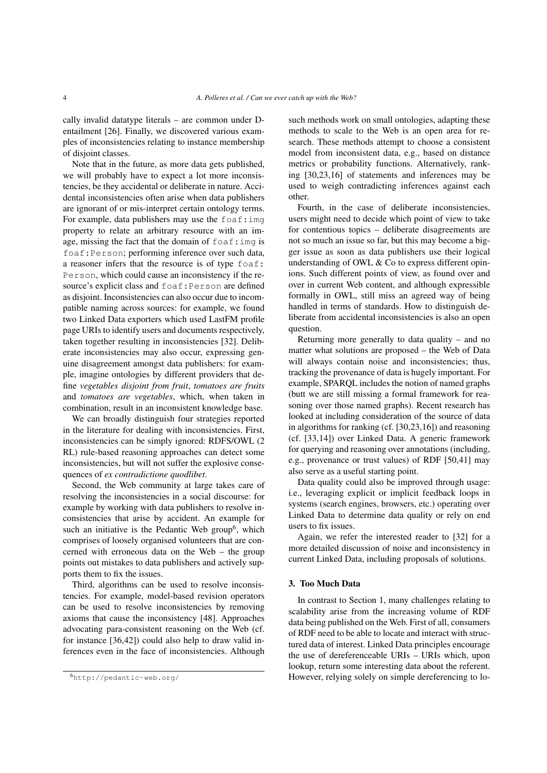cally invalid datatype literals – are common under Dentailment [26]. Finally, we discovered various examples of inconsistencies relating to instance membership of disjoint classes.

Note that in the future, as more data gets published, we will probably have to expect a lot more inconsistencies, be they accidental or deliberate in nature. Accidental inconsistencies often arise when data publishers are ignorant of or mis-interpret certain ontology terms. For example, data publishers may use the  $f$ oaf: $img$ property to relate an arbitrary resource with an image, missing the fact that the domain of  $f$ oaf:  $img$  is foaf:Person; performing inference over such data, a reasoner infers that the resource is of type foaf: Person, which could cause an inconsistency if the resource's explicit class and foaf:Person are defined as disjoint. Inconsistencies can also occur due to incompatible naming across sources: for example, we found two Linked Data exporters which used LastFM profile page URIs to identify users and documents respectively, taken together resulting in inconsistencies [32]. Deliberate inconsistencies may also occur, expressing genuine disagreement amongst data publishers: for example, imagine ontologies by different providers that define *vegetables disjoint from fruit*, *tomatoes are fruits* and *tomatoes are vegetables*, which, when taken in combination, result in an inconsistent knowledge base.

We can broadly distinguish four strategies reported in the literature for dealing with inconsistencies. First, inconsistencies can be simply ignored: RDFS/OWL (2 RL) rule-based reasoning approaches can detect some inconsistencies, but will not suffer the explosive consequences of *ex contradictione quodlibet*.

Second, the Web community at large takes care of resolving the inconsistencies in a social discourse: for example by working with data publishers to resolve inconsistencies that arise by accident. An example for such an initiative is the Pedantic Web group<sup>6</sup>, which comprises of loosely organised volunteers that are concerned with erroneous data on the Web – the group points out mistakes to data publishers and actively supports them to fix the issues.

Third, algorithms can be used to resolve inconsistencies. For example, model-based revision operators can be used to resolve inconsistencies by removing axioms that cause the inconsistency [48]. Approaches advocating para-consistent reasoning on the Web (cf. for instance [36,42]) could also help to draw valid inferences even in the face of inconsistencies. Although

such methods work on small ontologies, adapting these methods to scale to the Web is an open area for research. These methods attempt to choose a consistent model from inconsistent data, e.g., based on distance metrics or probability functions. Alternatively, ranking [30,23,16] of statements and inferences may be used to weigh contradicting inferences against each other.

Fourth, in the case of deliberate inconsistencies, users might need to decide which point of view to take for contentious topics – deliberate disagreements are not so much an issue so far, but this may become a bigger issue as soon as data publishers use their logical understanding of OWL & Co to express different opinions. Such different points of view, as found over and over in current Web content, and although expressible formally in OWL, still miss an agreed way of being handled in terms of standards. How to distinguish deliberate from accidental inconsistencies is also an open question.

Returning more generally to data quality – and no matter what solutions are proposed – the Web of Data will always contain noise and inconsistencies; thus, tracking the provenance of data is hugely important. For example, SPARQL includes the notion of named graphs (butt we are still missing a formal framework for reasoning over those named graphs). Recent research has looked at including consideration of the source of data in algorithms for ranking (cf. [30,23,16]) and reasoning (cf. [33,14]) over Linked Data. A generic framework for querying and reasoning over annotations (including, e.g., provenance or trust values) of RDF [50,41] may also serve as a useful starting point.

Data quality could also be improved through usage: i.e., leveraging explicit or implicit feedback loops in systems (search engines, browsers, etc.) operating over Linked Data to determine data quality or rely on end users to fix issues.

Again, we refer the interested reader to [32] for a more detailed discussion of noise and inconsistency in current Linked Data, including proposals of solutions.

# 3. Too Much Data

In contrast to Section 1, many challenges relating to scalability arise from the increasing volume of RDF data being published on the Web. First of all, consumers of RDF need to be able to locate and interact with structured data of interest. Linked Data principles encourage the use of dereferenceable URIs – URIs which, upon lookup, return some interesting data about the referent. However, relying solely on simple dereferencing to lo-

<sup>6</sup>http://pedantic-web.org/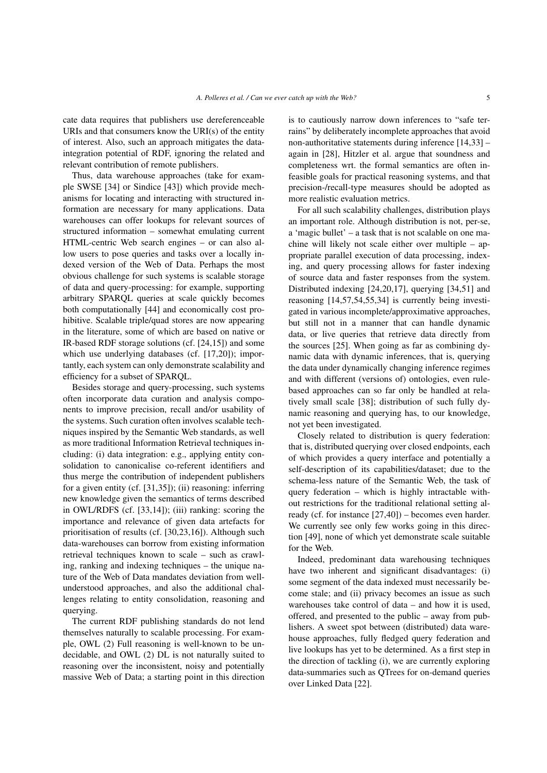cate data requires that publishers use dereferenceable URIs and that consumers know the URI $(s)$  of the entity of interest. Also, such an approach mitigates the dataintegration potential of RDF, ignoring the related and relevant contribution of remote publishers.

Thus, data warehouse approaches (take for example SWSE [34] or Sindice [43]) which provide mechanisms for locating and interacting with structured information are necessary for many applications. Data warehouses can offer lookups for relevant sources of structured information – somewhat emulating current HTML-centric Web search engines – or can also allow users to pose queries and tasks over a locally indexed version of the Web of Data. Perhaps the most obvious challenge for such systems is scalable storage of data and query-processing: for example, supporting arbitrary SPARQL queries at scale quickly becomes both computationally [44] and economically cost prohibitive. Scalable triple/quad stores are now appearing in the literature, some of which are based on native or IR-based RDF storage solutions (cf. [24,15]) and some which use underlying databases (cf. [17,20]); importantly, each system can only demonstrate scalability and efficiency for a subset of SPARQL.

Besides storage and query-processing, such systems often incorporate data curation and analysis components to improve precision, recall and/or usability of the systems. Such curation often involves scalable techniques inspired by the Semantic Web standards, as well as more traditional Information Retrieval techniques including: (i) data integration: e.g., applying entity consolidation to canonicalise co-referent identifiers and thus merge the contribution of independent publishers for a given entity (cf. [31,35]); (ii) reasoning: inferring new knowledge given the semantics of terms described in OWL/RDFS (cf. [33,14]); (iii) ranking: scoring the importance and relevance of given data artefacts for prioritisation of results (cf. [30,23,16]). Although such data-warehouses can borrow from existing information retrieval techniques known to scale – such as crawling, ranking and indexing techniques – the unique nature of the Web of Data mandates deviation from wellunderstood approaches, and also the additional challenges relating to entity consolidation, reasoning and querying.

The current RDF publishing standards do not lend themselves naturally to scalable processing. For example, OWL (2) Full reasoning is well-known to be undecidable, and OWL (2) DL is not naturally suited to reasoning over the inconsistent, noisy and potentially massive Web of Data; a starting point in this direction is to cautiously narrow down inferences to "safe terrains" by deliberately incomplete approaches that avoid non-authoritative statements during inference [14,33] – again in [28], Hitzler et al. argue that soundness and completeness wrt. the formal semantics are often infeasible goals for practical reasoning systems, and that precision-/recall-type measures should be adopted as more realistic evaluation metrics.

For all such scalability challenges, distribution plays an important role. Although distribution is not, per-se, a 'magic bullet' – a task that is not scalable on one machine will likely not scale either over multiple – appropriate parallel execution of data processing, indexing, and query processing allows for faster indexing of source data and faster responses from the system. Distributed indexing [24,20,17], querying [34,51] and reasoning [14,57,54,55,34] is currently being investigated in various incomplete/approximative approaches, but still not in a manner that can handle dynamic data, or live queries that retrieve data directly from the sources [25]. When going as far as combining dynamic data with dynamic inferences, that is, querying the data under dynamically changing inference regimes and with different (versions of) ontologies, even rulebased approaches can so far only be handled at relatively small scale [38]; distribution of such fully dynamic reasoning and querying has, to our knowledge, not yet been investigated.

Closely related to distribution is query federation: that is, distributed querying over closed endpoints, each of which provides a query interface and potentially a self-description of its capabilities/dataset; due to the schema-less nature of the Semantic Web, the task of query federation – which is highly intractable without restrictions for the traditional relational setting already (cf. for instance [27,40]) – becomes even harder. We currently see only few works going in this direction [49], none of which yet demonstrate scale suitable for the Web.

Indeed, predominant data warehousing techniques have two inherent and significant disadvantages: (i) some segment of the data indexed must necessarily become stale; and (ii) privacy becomes an issue as such warehouses take control of data – and how it is used, offered, and presented to the public – away from publishers. A sweet spot between (distributed) data warehouse approaches, fully fledged query federation and live lookups has yet to be determined. As a first step in the direction of tackling (i), we are currently exploring data-summaries such as QTrees for on-demand queries over Linked Data [22].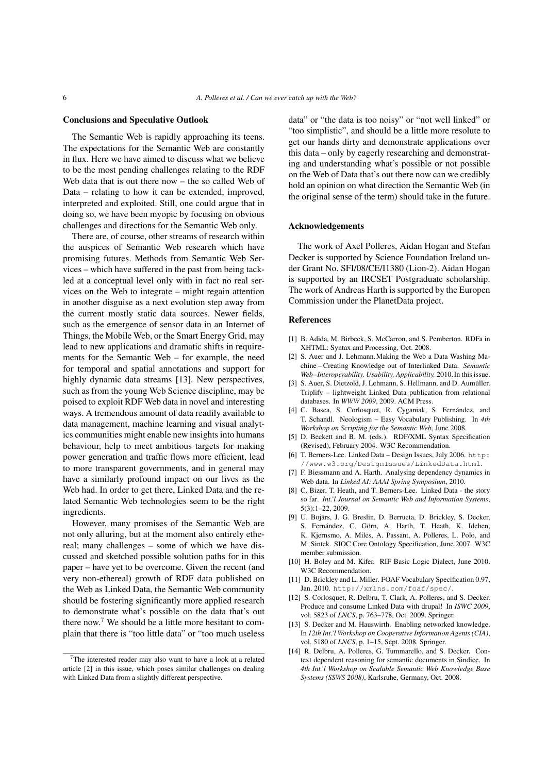#### Conclusions and Speculative Outlook

The Semantic Web is rapidly approaching its teens. The expectations for the Semantic Web are constantly in flux. Here we have aimed to discuss what we believe to be the most pending challenges relating to the RDF Web data that is out there now – the so called Web of Data – relating to how it can be extended, improved, interpreted and exploited. Still, one could argue that in doing so, we have been myopic by focusing on obvious challenges and directions for the Semantic Web only.

There are, of course, other streams of research within the auspices of Semantic Web research which have promising futures. Methods from Semantic Web Services – which have suffered in the past from being tackled at a conceptual level only with in fact no real services on the Web to integrate – might regain attention in another disguise as a next evolution step away from the current mostly static data sources. Newer fields, such as the emergence of sensor data in an Internet of Things, the Mobile Web, or the Smart Energy Grid, may lead to new applications and dramatic shifts in requirements for the Semantic Web – for example, the need for temporal and spatial annotations and support for highly dynamic data streams [13]. New perspectives, such as from the young Web Science discipline, may be poised to exploit RDF Web data in novel and interesting ways. A tremendous amount of data readily available to data management, machine learning and visual analytics communities might enable new insights into humans behaviour, help to meet ambitious targets for making power generation and traffic flows more efficient, lead to more transparent governments, and in general may have a similarly profound impact on our lives as the Web had. In order to get there, Linked Data and the related Semantic Web technologies seem to be the right ingredients.

However, many promises of the Semantic Web are not only alluring, but at the moment also entirely ethereal; many challenges – some of which we have discussed and sketched possible solution paths for in this paper – have yet to be overcome. Given the recent (and very non-ethereal) growth of RDF data published on the Web as Linked Data, the Semantic Web community should be fostering significantly more applied research to demonstrate what's possible on the data that's out there now.<sup>7</sup> We should be a little more hesitant to complain that there is "too little data" or "too much useless data" or "the data is too noisy" or "not well linked" or "too simplistic", and should be a little more resolute to get our hands dirty and demonstrate applications over this data – only by eagerly researching and demonstrating and understanding what's possible or not possible on the Web of Data that's out there now can we credibly hold an opinion on what direction the Semantic Web (in the original sense of the term) should take in the future.

## Acknowledgements

The work of Axel Polleres, Aidan Hogan and Stefan Decker is supported by Science Foundation Ireland under Grant No. SFI/08/CE/I1380 (Lion-2). Aidan Hogan is supported by an IRCSET Postgraduate scholarship. The work of Andreas Harth is supported by the Europen Commission under the PlanetData project.

# References

- [1] B. Adida, M. Birbeck, S. McCarron, and S. Pemberton. RDFa in XHTML: Syntax and Processing, Oct. 2008.
- [2] S. Auer and J. Lehmann.Making the Web a Data Washing Machine – Creating Knowledge out of Interlinked Data. *Semantic Web–Interoperability, Usability, Applicability,* 2010. In this issue.
- [3] S. Auer, S. Dietzold, J. Lehmann, S. Hellmann, and D. Aumüller. Triplify – lightweight Linked Data publication from relational databases. In *WWW 2009*, 2009. ACM Press.
- [4] C. Basca, S. Corlosquet, R. Cyganiak, S. Fernández, and T. Schandl. Neologism – Easy Vocabulary Publishing. In *4th Workshop on Scripting for the Semantic Web*, June 2008.
- [5] D. Beckett and B. M. (eds.). RDF/XML Syntax Specification (Revised), February 2004. W3C Recommendation.
- [6] T. Berners-Lee. Linked Data Design Issues, July 2006. http: //www.w3.org/DesignIssues/LinkedData.html.
- [7] F. Biessmann and A. Harth. Analysing dependency dynamics in Web data. In *Linked AI: AAAI Spring Symposium*, 2010.
- [8] C. Bizer, T. Heath, and T. Berners-Lee. Linked Data the story so far. *Int.'l Journal on Semantic Web and Information Systems*, 5(3):1–22, 2009.
- [9] U. Bojārs, J. G. Breslin, D. Berrueta, D. Brickley, S. Decker, S. Fernández, C. Görn, A. Harth, T. Heath, K. Idehen, K. Kjernsmo, A. Miles, A. Passant, A. Polleres, L. Polo, and M. Sintek. SIOC Core Ontology Specification, June 2007. W3C member submission.
- [10] H. Boley and M. Kifer. RIF Basic Logic Dialect, June 2010. W3C Recommendation.
- [11] D. Brickley and L. Miller. FOAF Vocabulary Specification 0.97, Jan. 2010. http://xmlns.com/foaf/spec/.
- [12] S. Corlosquet, R. Delbru, T. Clark, A. Polleres, and S. Decker. Produce and consume Linked Data with drupal! In *ISWC 2009*, vol. 5823 of *LNCS*, p. 763–778, Oct. 2009. Springer.
- [13] S. Decker and M. Hauswirth. Enabling networked knowledge. In *12th Int.'l Workshop on Cooperative Information Agents (CIA)*, vol. 5180 of *LNCS*, p. 1–15, Sept. 2008. Springer.
- [14] R. Delbru, A. Polleres, G. Tummarello, and S. Decker. Context dependent reasoning for semantic documents in Sindice. In *4th Int.'l Workshop on Scalable Semantic Web Knowledge Base Systems (SSWS 2008)*, Karlsruhe, Germany, Oct. 2008.

<sup>7</sup>The interested reader may also want to have a look at a related article [2] in this issue, which poses similar challenges on dealing with Linked Data from a slightly different perspective.